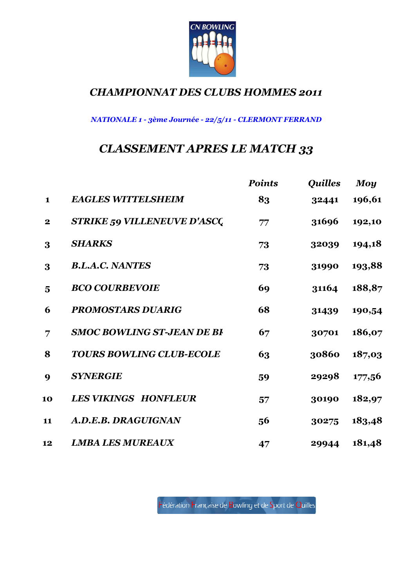

NATIONALE 1 - 3ème Journée - 22/5/11 - CLERMONT FERRAND

# CLASSEMENT APRES LE MATCH 33

|                  |                                    | <b>Points</b> | <i><b>Quilles</b></i> | <b>Moy</b> |
|------------------|------------------------------------|---------------|-----------------------|------------|
| $\mathbf{1}$     | <b>EAGLES WITTELSHEIM</b>          | 83            | 32441                 | 196,61     |
| $\mathbf{2}$     | <b>STRIKE 59 VILLENEUVE D'ASCQ</b> | 77            | 31696                 | 192,10     |
| 3                | <b>SHARKS</b>                      | 73            | 32039                 | 194,18     |
| 3                | <b>B.L.A.C. NANTES</b>             | 73            | 31990                 | 193,88     |
| 5                | <b>BCO COURBEVOIE</b>              | 69            | 31164                 | 188,87     |
| 6                | <b>PROMOSTARS DUARIG</b>           | 68            | 31439                 | 190,54     |
| 7                | <b>SMOC BOWLING ST-JEAN DE BI</b>  | 67            | 30701                 | 186,07     |
| 8                | <b>TOURS BOWLING CLUB-ECOLE</b>    | 63            | 30860                 | 187,03     |
| $\boldsymbol{Q}$ | <b>SYNERGIE</b>                    | 59            | 29298                 | 177,56     |
| 10               | <b>LES VIKINGS HONFLEUR</b>        | 57            | 30190                 | 182,97     |
| 11               | A.D.E.B. DRAGUIGNAN                | 56            | 30275                 | 183,48     |
| 12               | <b>LMBA LES MUREAUX</b>            | 47            | 29944                 | 181,48     |

Fédération Française de Bowling et de Sport de Quilles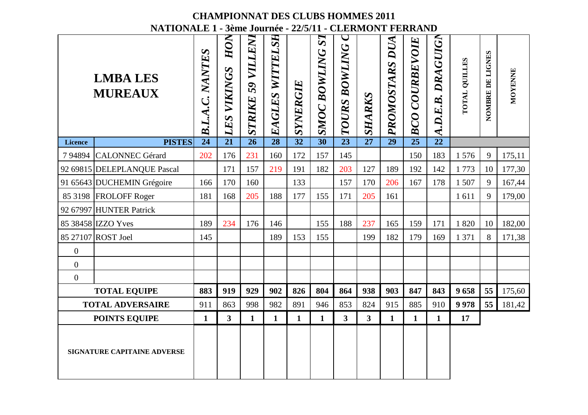|                  |                                                         |                  |                         |                             |                 |                 |                       | <b>CHAMPIONNAT DES CLUBS HOMMES 2011</b> |                |                   |                       |                   |                      |                  |         |
|------------------|---------------------------------------------------------|------------------|-------------------------|-----------------------------|-----------------|-----------------|-----------------------|------------------------------------------|----------------|-------------------|-----------------------|-------------------|----------------------|------------------|---------|
|                  | NATIONALE 1 - 3ème Journée - 22/5/11 - CLERMONT FERRAND |                  |                         |                             |                 |                 |                       |                                          |                |                   |                       |                   |                      |                  |         |
|                  | <b>LMBA LES</b><br><b>MUREAUX</b>                       | NANTES<br>BLA.C. | HON<br>VIKINGS<br>LES   | <b>79 VILLENI</b><br>STRIKE | EAGLES WITTELSH | SYNERGIE        | SI<br>BOWLING<br>SMOC | <b>TOURS BOWLING</b>                     | <b>SHARKS</b>  | DUA<br>PROMOSTARS | <b>BCO COURBEVOIE</b> | A.D.E.B. DRAGUIGN | <b>TOTAL QUILLES</b> | NOMBRE DE LIGNES | MOYENNE |
| <b>Licence</b>   | <b>PISTES</b>                                           | 24               | 21                      | $\overline{26}$             | $\overline{28}$ | $\overline{32}$ | $\overline{30}$       | 23                                       | 27             | 29                | $\overline{25}$       | $\overline{22}$   |                      |                  |         |
| 794894           | <b>CALONNEC Gérard</b>                                  | 202              | 176                     | 231                         | 160             | 172             | 157                   | 145                                      |                |                   | 150                   | 183               | 1576                 | 9                | 175,11  |
|                  | 92 69815 DELEPLANQUE Pascal                             |                  | 171                     | 157                         | 219             | 191             | 182                   | 203                                      | 127            | 189               | 192                   | 142               | 1773                 | 10               | 177,30  |
|                  | 91 65643 DUCHEMIN Grégoire                              | 166              | 170                     | 160                         |                 | 133             |                       | 157                                      | 170            | 206               | 167                   | 178               | 1 507                | 9                | 167,44  |
|                  | 85 3198 FROLOFF Roger                                   | 181              | 168                     | 205                         | 188             | 177             | 155                   | 171                                      | 205            | 161               |                       |                   | 1611                 | 9                | 179,00  |
|                  | 92 67997 HUNTER Patrick                                 |                  |                         |                             |                 |                 |                       |                                          |                |                   |                       |                   |                      |                  |         |
|                  | 85 38458 IZZO Yves                                      | 189              | 234                     | 176                         | 146             |                 | 155                   | 188                                      | 237            | 165               | 159                   | 171               | 1820                 | 10               | 182,00  |
|                  | 85 27107 ROST Joel                                      | 145              |                         |                             | 189             | 153             | 155                   |                                          | 199            | 182               | 179                   | 169               | 1 371                | 8                | 171,38  |
| $\boldsymbol{0}$ |                                                         |                  |                         |                             |                 |                 |                       |                                          |                |                   |                       |                   |                      |                  |         |
| $\overline{0}$   |                                                         |                  |                         |                             |                 |                 |                       |                                          |                |                   |                       |                   |                      |                  |         |
| $\overline{0}$   |                                                         |                  |                         |                             |                 |                 |                       |                                          |                |                   |                       |                   |                      |                  |         |
|                  | <b>TOTAL EQUIPE</b>                                     | 883              | 919                     | 929                         | 902             | 826             | 804                   | 864                                      | 938            | 903               | 847                   | 843               | 9658                 | 55               | 175,60  |
|                  | <b>TOTAL ADVERSAIRE</b>                                 | 911              | 863                     | 998                         | 982             | 891             | 946                   | 853                                      | 824            | 915               | 885                   | 910               | 9978                 | 55               | 181,42  |
|                  | <b>POINTS EQUIPE</b>                                    | 1                | $\overline{\mathbf{3}}$ | $\mathbf{1}$                | $\mathbf{1}$    | $\mathbf{1}$    | $\mathbf{1}$          | 3 <sup>1</sup>                           | 3 <sup>1</sup> | 1                 | $\mathbf{1}$          | $\mathbf{1}$      | 17                   |                  |         |
|                  | <b>SIGNATURE CAPITAINE ADVERSE</b>                      |                  |                         |                             |                 |                 |                       |                                          |                |                   |                       |                   |                      |                  |         |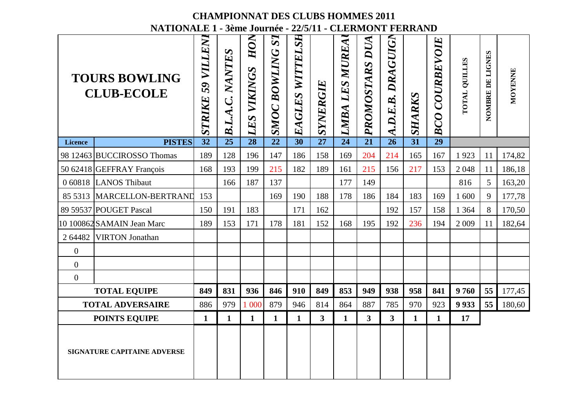|                  |                                                                                                      |                         |                    | <b>CHAMPIONNAT DES CLUBS HOMMES 2011</b> |                                      |                 |                 |                   |                   |                      |                 |                       |                      |                  |         |
|------------------|------------------------------------------------------------------------------------------------------|-------------------------|--------------------|------------------------------------------|--------------------------------------|-----------------|-----------------|-------------------|-------------------|----------------------|-----------------|-----------------------|----------------------|------------------|---------|
|                  | NATIONALE 1 - 3ème Journée - 22/5/11 - CLERMONT FERRAND<br><b>TOURS BOWLING</b><br><b>CLUB-ECOLE</b> | VILLENI<br>59<br>STRIKE | NANTES<br>B.L.A.C. | HON<br>VIKINGS<br>LES                    | $\bm S \bm I$<br><b>SMOC BOWLING</b> | EAGLES WITTELSH | <b>SYNERGIE</b> | LES MUREA<br>LMBA | DUA<br>PROMOSTARS | DRAGUIGN<br>A.D.E.B. | SHARKS          | <b>BCO COURBEVOIE</b> | <b>TOTAL QUILLES</b> | NOMBRE DE LIGNES | MOYENNE |
| <b>Licence</b>   | <b>PISTES</b>                                                                                        | $\overline{32}$         | 25                 | 28                                       | $\overline{22}$                      | 30              | 27              | 24                | 21                | 26                   | $\overline{31}$ | $\overline{29}$       |                      |                  |         |
|                  | 98 12463 BUCCIROSSO Thomas                                                                           | 189                     | 128                | 196                                      | 147                                  | 186             | 158             | 169               | 204               | 214                  | 165             | 167                   | 1923                 | 11               | 174,82  |
|                  | 50 62418 GEFFRAY François                                                                            | 168                     | 193                | 199                                      | 215                                  | 182             | 189             | 161               | 215               | 156                  | 217             | 153                   | 2048                 | 11               | 186,18  |
|                  | 0 60818 LANOS Thibaut                                                                                |                         | 166                | 187                                      | 137                                  |                 |                 | 177               | 149               |                      |                 |                       | 816                  | 5                | 163,20  |
| 85 5313          | MARCELLON-BERTRAND                                                                                   | 153                     |                    |                                          | 169                                  | 190             | 188             | 178               | 186               | 184                  | 183             | 169                   | 1 600                | 9                | 177,78  |
|                  | 89 59537 POUGET Pascal                                                                               | 150                     | 191                | 183                                      |                                      | 171             | 162             |                   |                   | 192                  | 157             | 158                   | 1 3 6 4              | 8                | 170,50  |
|                  | 10 100862 SAMAIN Jean Marc                                                                           | 189                     | 153                | 171                                      | 178                                  | 181             | 152             | 168               | 195               | 192                  | 236             | 194                   | 2 0 0 9              | 11               | 182,64  |
| 2 64482          | <b>VIRTON</b> Jonathan                                                                               |                         |                    |                                          |                                      |                 |                 |                   |                   |                      |                 |                       |                      |                  |         |
| $\boldsymbol{0}$ |                                                                                                      |                         |                    |                                          |                                      |                 |                 |                   |                   |                      |                 |                       |                      |                  |         |
| $\overline{0}$   |                                                                                                      |                         |                    |                                          |                                      |                 |                 |                   |                   |                      |                 |                       |                      |                  |         |
| $\overline{0}$   |                                                                                                      |                         |                    |                                          |                                      |                 |                 |                   |                   |                      |                 |                       |                      |                  |         |
|                  | <b>TOTAL EQUIPE</b>                                                                                  | 849                     | 831                | 936                                      | 846                                  | 910             | 849             | 853               | 949               | 938                  | 958             | 841                   | 9760                 | 55               | 177,45  |
|                  | <b>TOTAL ADVERSAIRE</b>                                                                              | 886                     | 979                | 1 000                                    | 879                                  | 946             | 814             | 864               | 887               | 785                  | 970             | 923                   | 9 9 3 3              | 55               | 180,60  |
|                  | <b>POINTS EQUIPE</b>                                                                                 | $\mathbf{1}$            | $\mathbf{1}$       | $\mathbf{1}$                             | $\mathbf{1}$                         | $\mathbf{1}$    | 3 <sup>1</sup>  | 1                 | $\mathbf{3}$      | 3 <sup>1</sup>       | $\mathbf{1}$    | $\mathbf{1}$          | 17                   |                  |         |
|                  | <b>SIGNATURE CAPITAINE ADVERSE</b>                                                                   |                         |                    |                                          |                                      |                 |                 |                   |                   |                      |                 |                       |                      |                  |         |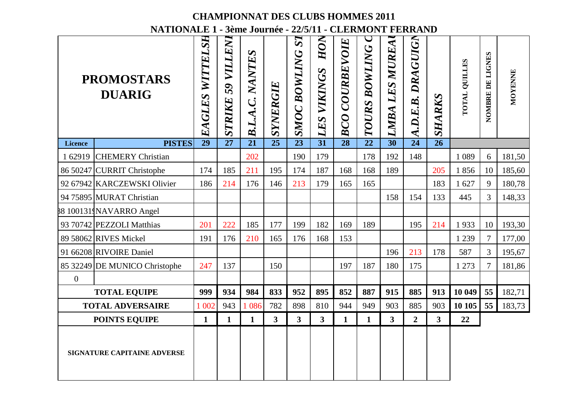|                  |                                                                                               |                    |                         |                 |                 |                                         |                       | <b>CHAMPIONNAT DES CLUBS HOMMES 2011</b> |                  |                   |                   |                         |                      |                  |         |
|------------------|-----------------------------------------------------------------------------------------------|--------------------|-------------------------|-----------------|-----------------|-----------------------------------------|-----------------------|------------------------------------------|------------------|-------------------|-------------------|-------------------------|----------------------|------------------|---------|
|                  | NATIONALE 1 - 3ème Journée - 22/5/11 - CLERMONT FERRAND<br><b>PROMOSTARS</b><br><b>DUARIG</b> | WITTELSH<br>EAGLES | VILLENI<br>59<br>STRIKE | B.L.A.C. NANTES | SYNERGIE        | $\boldsymbol{S}$<br><b>SMOC BOWLING</b> | HON<br>VIKINGS<br>LES | COURBEVOIE<br>BCO                        | BOWLING<br>TOURS | LES MUREA<br>LMBA | A.D.E.B. DRAGUIGN | SHARKS                  | <b>TOTAL QUILLES</b> | NOMBRE DE LIGNES | MOYENNE |
| <b>Licence</b>   | <b>PISTES</b>                                                                                 | 29                 | 27                      | $\overline{21}$ | $\overline{25}$ | $\overline{23}$                         | 31                    | 28                                       | 22               | $\overline{30}$   | $\overline{24}$   | $\overline{26}$         |                      |                  |         |
| 1 62919          | <b>CHEMERY Christian</b>                                                                      |                    |                         | 202             |                 | 190                                     | 179                   |                                          | 178              | 192               | 148               |                         | 1 0 8 9              | 6                | 181,50  |
|                  | 86 50247 CURRIT Christophe                                                                    | 174                | 185                     | 211             | 195             | 174                                     | 187                   | 168                                      | 168              | 189               |                   | 205                     | 1856                 | 10               | 185,60  |
|                  | 92 67942 KARCZEWSKI Olivier                                                                   | 186                | 214                     | 176             | 146             | 213                                     | 179                   | 165                                      | 165              |                   |                   | 183                     | 1 627                | 9                | 180,78  |
|                  | 94 75895 MURAT Christian                                                                      |                    |                         |                 |                 |                                         |                       |                                          |                  | 158               | 154               | 133                     | 445                  | 3                | 148,33  |
|                  | 88 1001319NAVARRO Angel                                                                       |                    |                         |                 |                 |                                         |                       |                                          |                  |                   |                   |                         |                      |                  |         |
|                  | 93 70742 PEZZOLI Matthias                                                                     | 201                | 222                     | 185             | 177             | 199                                     | 182                   | 169                                      | 189              |                   | 195               | 214                     | 1933                 | 10               | 193,30  |
|                  | 89 58062 RIVES Mickel                                                                         | 191                | 176                     | 210             | 165             | 176                                     | 168                   | 153                                      |                  |                   |                   |                         | 1 2 3 9              | $\tau$           | 177,00  |
|                  | 91 66208 RIVOIRE Daniel                                                                       |                    |                         |                 |                 |                                         |                       |                                          |                  | 196               | 213               | 178                     | 587                  | 3                | 195,67  |
|                  | 85 32249 DE MUNICO Christophe                                                                 | 247                | 137                     |                 | 150             |                                         |                       | 197                                      | 187              | 180               | 175               |                         | 1 273                | $\tau$           | 181,86  |
| $\boldsymbol{0}$ |                                                                                               |                    |                         |                 |                 |                                         |                       |                                          |                  |                   |                   |                         |                      |                  |         |
|                  | <b>TOTAL EQUIPE</b>                                                                           | 999                | 934                     | 984             | 833             | 952                                     | 895                   | 852                                      | 887              | 915               | 885               | 913                     | 10 049               | 55               | 182,71  |
|                  | <b>TOTAL ADVERSAIRE</b>                                                                       | 1 0 0 2            | 943                     | 1 0 8 6         | 782             | 898                                     | 810                   | 944                                      | 949              | 903               | 885               | 903                     | 10 10 5              | 55               | 183,73  |
|                  | <b>POINTS EQUIPE</b>                                                                          | 1                  | $\mathbf{1}$            | $\mathbf{1}$    | 3               | 3                                       | 3 <sup>1</sup>        | $\mathbf{1}$                             | $\mathbf{1}$     | $\mathbf{3}$      | $\overline{2}$    | $\overline{\mathbf{3}}$ | 22                   |                  |         |
|                  | SIGNATURE CAPITAINE ADVERSE                                                                   |                    |                         |                 |                 |                                         |                       |                                          |                  |                   |                   |                         |                      |                  |         |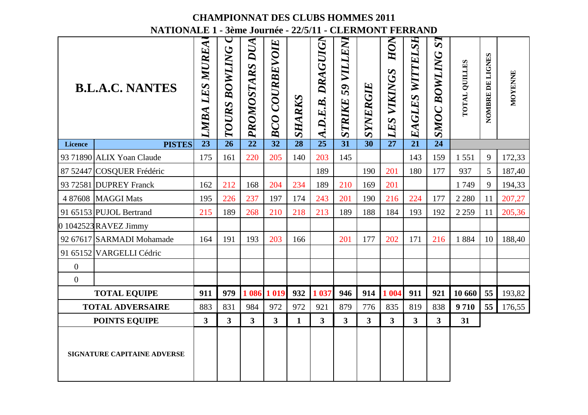|                |                                                         |                                 |                  |                   | <b>CHAMPIONNAT DES CLUBS HOMMES 2011</b> |                 |                             |                         |                 |                       |                         |                       |                      |                  |         |
|----------------|---------------------------------------------------------|---------------------------------|------------------|-------------------|------------------------------------------|-----------------|-----------------------------|-------------------------|-----------------|-----------------------|-------------------------|-----------------------|----------------------|------------------|---------|
|                | NATIONALE 1 - 3ème Journée - 22/5/11 - CLERMONT FERRAND |                                 |                  |                   |                                          |                 |                             |                         |                 |                       |                         |                       |                      |                  |         |
|                | <b>B.L.A.C. NANTES</b>                                  | <b>LES MUREA</b><br><b>LMBA</b> | BOWLING<br>TOURS | DUA<br>PROMOSTARS | <b>BCO COURBEVOIE</b>                    | SHARKS          | <b>DRAGUIGN</b><br>A.D.E.B. | VILLENI<br>59<br>STRIKE | SYNERGIE        | HON<br>VIKINGS<br>LES | EAGLES WITTELSH         | SI<br>BOWLING<br>SMOC | <b>TOTAL QUILLES</b> | NOMBRE DE LIGNES | MOYENNE |
| <b>Licence</b> | <b>PISTES</b>                                           | $\overline{23}$                 | 26               | $\overline{22}$   | $\overline{32}$                          | $\overline{28}$ | $\overline{25}$             | $\overline{31}$         | $\overline{30}$ | $\overline{27}$       | $\overline{21}$         | $\overline{24}$       |                      |                  |         |
|                | 93 71890 ALIX Yoan Claude                               | 175                             | 161              | 220               | 205                                      | 140             | 203                         | 145                     |                 |                       | 143                     | 159                   | 1551                 | 9                | 172,33  |
| 87 52447       | COSQUER Frédéric                                        |                                 |                  |                   |                                          |                 | 189                         |                         | 190             | 201                   | 180                     | 177                   | 937                  | 5                | 187,40  |
|                | 93 72581 DUPREY Franck                                  | 162                             | 212              | 168               | 204                                      | 234             | 189                         | 210                     | 169             | 201                   |                         |                       | 1749                 | 9                | 194,33  |
| 4 87608        | <b>MAGGI Mats</b>                                       | 195                             | 226              | 237               | 197                                      | 174             | 243                         | 201                     | 190             | 216                   | 224                     | 177                   | 2 2 8 0              | 11               | 207,27  |
|                | 91 65153 PUJOL Bertrand                                 | 215                             | 189              | 268               | 210                                      | 218             | 213                         | 189                     | 188             | 184                   | 193                     | 192                   | 2 2 5 9              | 11               | 205,36  |
|                | 0 1042523 RAVEZ Jimmy                                   |                                 |                  |                   |                                          |                 |                             |                         |                 |                       |                         |                       |                      |                  |         |
|                | 92 67617 SARMADI Mohamade                               | 164                             | 191              | 193               | 203                                      | 166             |                             | 201                     | 177             | 202                   | 171                     | 216                   | 1884                 | 10               | 188,40  |
|                | 91 65152 VARGELLI Cédric                                |                                 |                  |                   |                                          |                 |                             |                         |                 |                       |                         |                       |                      |                  |         |
| $\overline{0}$ |                                                         |                                 |                  |                   |                                          |                 |                             |                         |                 |                       |                         |                       |                      |                  |         |
| $\mathbf{0}$   |                                                         |                                 |                  |                   |                                          |                 |                             |                         |                 |                       |                         |                       |                      |                  |         |
|                | <b>TOTAL EQUIPE</b>                                     | 911                             | 979              |                   | 1 086 1 019                              | 932             | 1 0 3 7                     | 946                     | 914             | 1 0 0 4               | 911                     | 921                   | 10 660               | 55               | 193,82  |
|                | <b>TOTAL ADVERSAIRE</b>                                 | 883                             | 831              | 984               | 972                                      | 972             | 921                         | 879                     | 776             | 835                   | 819                     | 838                   | 9710                 | 55               | 176,55  |
|                | <b>POINTS EQUIPE</b>                                    | $\mathbf{3}$                    | $\mathbf{3}$     | 3 <sup>1</sup>    | $\overline{\mathbf{3}}$                  | $\mathbf{1}$    | 3 <sup>1</sup>              | $\mathbf{3}$            | 3 <sup>1</sup>  | 3 <sup>1</sup>        | $\overline{\mathbf{3}}$ | 3 <sup>1</sup>        | 31                   |                  |         |
|                | <b>SIGNATURE CAPITAINE ADVERSE</b>                      |                                 |                  |                   |                                          |                 |                             |                         |                 |                       |                         |                       |                      |                  |         |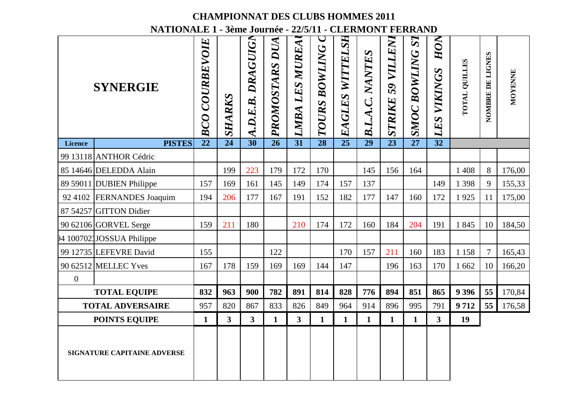|                  |                                                         |                          | <b>CHAMPIONNAT DES CLUBS HOMMES 2011</b> |                   |                 |                   |                         |                    |                           |                         |                                 |                           |                      |                  |         |
|------------------|---------------------------------------------------------|--------------------------|------------------------------------------|-------------------|-----------------|-------------------|-------------------------|--------------------|---------------------------|-------------------------|---------------------------------|---------------------------|----------------------|------------------|---------|
|                  | NATIONALE 1 - 3ème Journée - 22/5/11 - CLERMONT FERRAND |                          |                                          |                   |                 |                   |                         |                    |                           |                         |                                 |                           |                      |                  |         |
|                  | <b>SYNERGIE</b>                                         | <b>COURBEVOIE</b><br>BCO | SHARKS                                   | A.D.E.B. DRAGUIGN | PROMOSTARS DUA  | LES MUREA<br>LMBA | <b>BOWLING</b><br>TOURS | WITTELSH<br>EAGLES | NANTES<br><b>B.L.A.C.</b> | VILLENI<br>59<br>STRIKE | $\bm{S}$<br><b>SMOC BOWLING</b> | HON<br><b>LES VIKINGS</b> | <b>TOTAL QUILLES</b> | NOMBRE DE LIGNES | MOYENNE |
| <b>Licence</b>   | <b>PISTES</b>                                           | $\overline{22}$          | 24                                       | $\overline{30}$   | $\overline{26}$ | $\overline{31}$   | $\overline{28}$         | $\overline{25}$    | 29                        | $\overline{23}$         | $\overline{27}$                 | $\overline{32}$           |                      |                  |         |
|                  | 99 13118 ANTHOR Cédric                                  |                          |                                          |                   |                 |                   |                         |                    |                           |                         |                                 |                           |                      |                  |         |
|                  | 85 14646 DELEDDA Alain                                  |                          | 199                                      | 223               | 179             | 172               | 170                     |                    | 145                       | 156                     | 164                             |                           | 1 4 0 8              | 8                | 176,00  |
|                  | 89 59011 DUBIEN Philippe                                | 157                      | 169                                      | 161               | 145             | 149               | 174                     | 157                | 137                       |                         |                                 | 149                       | 1 3 9 8              | 9                | 155,33  |
| 92 4102          | <b>FERNANDES</b> Joaquim                                | 194                      | 206                                      | 177               | 167             | 191               | 152                     | 182                | 177                       | 147                     | 160                             | 172                       | 1925                 | 11               | 175,00  |
|                  | 87 54257 GITTON Didier                                  |                          |                                          |                   |                 |                   |                         |                    |                           |                         |                                 |                           |                      |                  |         |
|                  | 90 62106 GORVEL Serge                                   | 159                      | 211                                      | 180               |                 | 210               | 174                     | 172                | 160                       | 184                     | 204                             | 191                       | 1845                 | 10               | 184,50  |
|                  | 94 1007021JOSSUA Philippe                               |                          |                                          |                   |                 |                   |                         |                    |                           |                         |                                 |                           |                      |                  |         |
|                  | 99 12735 LEFEVRE David                                  | 155                      |                                          |                   | 122             |                   |                         | 170                | 157                       | 211                     | 160                             | 183                       | 1 1 5 8              | 7                | 165,43  |
|                  | 90 62512 MELLEC Yves                                    | 167                      | 178                                      | 159               | 169             | 169               | 144                     | 147                |                           | 196                     | 163                             | 170                       | 1 6 6 2              | 10               | 166,20  |
| $\boldsymbol{0}$ |                                                         |                          |                                          |                   |                 |                   |                         |                    |                           |                         |                                 |                           |                      |                  |         |
|                  | <b>TOTAL EQUIPE</b>                                     | 832                      | 963                                      | 900               | 782             | 891               | 814                     | 828                | 776                       | 894                     | 851                             | 865                       | 9 3 9 6              | 55               | 170,84  |
|                  | <b>TOTAL ADVERSAIRE</b>                                 | 957                      | 820                                      | 867               | 833             | 826               | 849                     | 964                | 914                       | 896                     | 995                             | 791                       | 9712                 | 55               | 176,58  |
|                  | <b>POINTS EQUIPE</b>                                    | $\mathbf{1}$             | 3                                        | 3 <sup>1</sup>    | $\mathbf{1}$    | 3                 | $\mathbf{1}$            | $\mathbf{1}$       | $\mathbf{1}$              | $\mathbf{1}$            | $\mathbf{1}$                    | $\mathbf{3}$              | 19                   |                  |         |
|                  | SIGNATURE CAPITAINE ADVERSE                             |                          |                                          |                   |                 |                   |                         |                    |                           |                         |                                 |                           |                      |                  |         |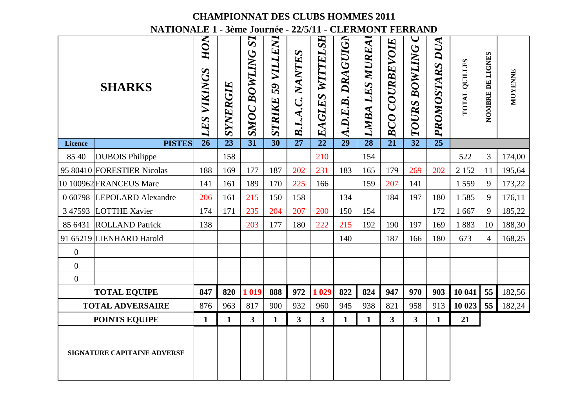|                  |                                                                          |                       |              | <b>CHAMPIONNAT DES CLUBS HOMMES 2011</b> |                                    |                 |                    |                      |                          |                          |                                           |                 |                      |                  |         |
|------------------|--------------------------------------------------------------------------|-----------------------|--------------|------------------------------------------|------------------------------------|-----------------|--------------------|----------------------|--------------------------|--------------------------|-------------------------------------------|-----------------|----------------------|------------------|---------|
|                  | NATIONALE 1 - 3ème Journée - 22/5/11 - CLERMONT FERRAND<br><b>SHARKS</b> | HON<br>VIKINGS<br>LES | SYNERGIE     | SI<br><b>SMOC BOWLING</b>                | <b>79 VILLENI</b><br><b>STRIKE</b> | B.L.A.C. NANTES | WITTELSH<br>EAGLES | DRAGUIGN<br>A.D.E.B. | <b>LES MUREA</b><br>LMBA | <b>COURBEVOIE</b><br>BCO | $\overline{\phantom{0}}$<br>TOURS BOWLING | PROMOSTARS DUA  | <b>TOTAL QUILLES</b> | NOMBRE DE LIGNES | MOYENNE |
| <b>Licence</b>   | <b>PISTES</b>                                                            | 26                    | 23           | $\overline{31}$                          | $\overline{30}$                    | 27              | $\overline{22}$    | 29                   | 28                       | 21                       | $\overline{32}$                           | $\overline{25}$ |                      |                  |         |
| 85 40            | <b>DUBOIS Philippe</b>                                                   |                       | 158          |                                          |                                    |                 | 210                |                      | 154                      |                          |                                           |                 | 522                  | 3                | 174,00  |
|                  | 95 80410 FORESTIER Nicolas                                               | 188                   | 169          | 177                                      | 187                                | 202             | 231                | 183                  | 165                      | 179                      | 269                                       | 202             | 2 1 5 2              | 11               | 195,64  |
|                  | 10 100962 FRANCEUS Marc                                                  | 141                   | 161          | 189                                      | 170                                | 225             | 166                |                      | 159                      | 207                      | 141                                       |                 | 1559                 | 9                | 173,22  |
| 0 60798          | <b>LEPOLARD</b> Alexandre                                                | 206                   | 161          | 215                                      | 150                                | 158             |                    | 134                  |                          | 184                      | 197                                       | 180             | 1585                 | 9                | 176,11  |
| 3 4 7 5 9 3      | <b>LOTTHE Xavier</b>                                                     | 174                   | 171          | 235                                      | 204                                | 207             | 200                | 150                  | 154                      |                          |                                           | 172             | 1 6 6 7              | 9                | 185,22  |
| 85 6431          | <b>ROLLAND Patrick</b>                                                   | 138                   |              | 203                                      | 177                                | 180             | 222                | 215                  | 192                      | 190                      | 197                                       | 169             | 1883                 | 10               | 188,30  |
|                  | 91 65219 LIENHARD Harold                                                 |                       |              |                                          |                                    |                 |                    | 140                  |                          | 187                      | 166                                       | 180             | 673                  | 4                | 168,25  |
| $\boldsymbol{0}$ |                                                                          |                       |              |                                          |                                    |                 |                    |                      |                          |                          |                                           |                 |                      |                  |         |
| $\mathbf{0}$     |                                                                          |                       |              |                                          |                                    |                 |                    |                      |                          |                          |                                           |                 |                      |                  |         |
| $\mathbf{0}$     |                                                                          |                       |              |                                          |                                    |                 |                    |                      |                          |                          |                                           |                 |                      |                  |         |
|                  | <b>TOTAL EQUIPE</b>                                                      | 847                   | 820          | 1 0 1 9                                  | 888                                | 972             | 1 0 29             | 822                  | 824                      | 947                      | 970                                       | 903             | 10 041               | 55               | 182,56  |
|                  | <b>TOTAL ADVERSAIRE</b>                                                  | 876                   | 963          | 817                                      | 900                                | 932             | 960                | 945                  | 938                      | 821                      | 958                                       | 913             | 10 023               | 55               | 182,24  |
|                  | <b>POINTS EQUIPE</b>                                                     | $\mathbf{1}$          | $\mathbf{1}$ | 3 <sup>1</sup>                           | $\mathbf{1}$                       | 3 <sup>1</sup>  | 3 <sup>1</sup>     | 1                    | $\mathbf{1}$             | 3 <sup>1</sup>           | 3 <sup>1</sup>                            | $\mathbf{1}$    | 21                   |                  |         |
|                  | <b>SIGNATURE CAPITAINE ADVERSE</b>                                       |                       |              |                                          |                                    |                 |                    |                      |                          |                          |                                           |                 |                      |                  |         |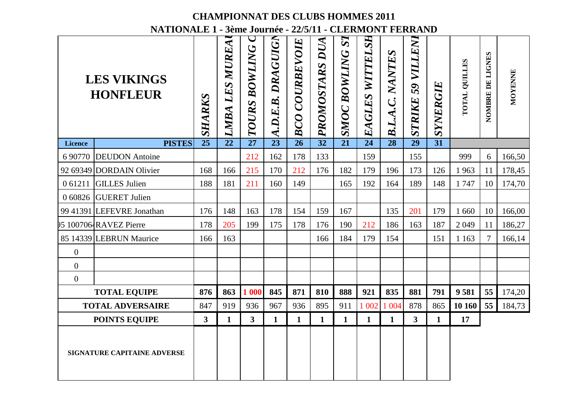|                  |                                                         |                 |                              | <b>CHAMPIONNAT DES CLUBS HOMMES 2011</b> |                   |                       |                   |                              |                    |                           |                                    |                 |                      |                  |         |
|------------------|---------------------------------------------------------|-----------------|------------------------------|------------------------------------------|-------------------|-----------------------|-------------------|------------------------------|--------------------|---------------------------|------------------------------------|-----------------|----------------------|------------------|---------|
|                  | NATIONALE 1 - 3ème Journée - 22/5/11 - CLERMONT FERRAND |                 |                              |                                          |                   |                       |                   |                              |                    |                           |                                    |                 |                      |                  |         |
|                  | <b>LES VIKINGS</b><br><b>HONFLEUR</b>                   | <b>SHARKS</b>   | MUREA<br>LES.<br><b>LMBA</b> | BOWLING<br>TOURS                         | A.D.E.B. DRAGUIGN | <b>BCO COURBEVOIE</b> | DUA<br>PROMOSTARS | SI<br>BOWLING<br><b>SMOC</b> | WITTELSH<br>EAGLES | NANTES<br><b>B.L.A.C.</b> | <b>79 VILLENI</b><br><b>STRIKE</b> | SYNERGIE        | <b>TOTAL QUILLES</b> | NOMBRE DE LIGNES | MOYENNE |
| <b>Licence</b>   | <b>PISTES</b>                                           | $\overline{25}$ | 22                           | 27                                       | $\overline{23}$   | 26                    | $\overline{32}$   | 21                           | 24                 | 28                        | $\overline{29}$                    | $\overline{31}$ |                      |                  |         |
| 6 90770          | <b>DEUDON</b> Antoine                                   |                 |                              | 212                                      | 162               | 178                   | 133               |                              | 159                |                           | 155                                |                 | 999                  | 6                | 166,50  |
|                  | 92 69349 DORDAIN Olivier                                | 168             | 166                          | 215                                      | 170               | 212                   | 176               | 182                          | 179                | 196                       | 173                                | 126             | 1963                 | 11               | 178,45  |
| 0 61211          | <b>GILLES Julien</b>                                    | 188             | 181                          | 211                                      | 160               | 149                   |                   | 165                          | 192                | 164                       | 189                                | 148             | 1747                 | 10               | 174,70  |
| 0 60826          | <b>GUERET Julien</b>                                    |                 |                              |                                          |                   |                       |                   |                              |                    |                           |                                    |                 |                      |                  |         |
|                  | 99 41391 LEFEVRE Jonathan                               | 176             | 148                          | 163                                      | 178               | 154                   | 159               | 167                          |                    | 135                       | 201                                | 179             | 1 6 6 0              | 10               | 166,00  |
|                  | 95 1007064RAVEZ Pierre                                  | 178             | 205                          | 199                                      | 175               | 178                   | 176               | 190                          | 212                | 186                       | 163                                | 187             | 2049                 | 11               | 186,27  |
|                  | 85 14339 LEBRUN Maurice                                 | 166             | 163                          |                                          |                   |                       | 166               | 184                          | 179                | 154                       |                                    | 151             | 1 1 6 3              | 7                | 166,14  |
| $\boldsymbol{0}$ |                                                         |                 |                              |                                          |                   |                       |                   |                              |                    |                           |                                    |                 |                      |                  |         |
| $\mathbf{0}$     |                                                         |                 |                              |                                          |                   |                       |                   |                              |                    |                           |                                    |                 |                      |                  |         |
| $\mathbf{0}$     |                                                         |                 |                              |                                          |                   |                       |                   |                              |                    |                           |                                    |                 |                      |                  |         |
|                  | <b>TOTAL EQUIPE</b>                                     | 876             | 863                          | 1 000                                    | 845               | 871                   | 810               | 888                          | 921                | 835                       | 881                                | 791             | 9581                 | 55               | 174,20  |
|                  | <b>TOTAL ADVERSAIRE</b>                                 | 847             | 919                          | 936                                      | 967               | 936                   | 895               | 911                          | 1 0 0 2            | 1 0 0 4                   | 878                                | 865             | 10 160               | 55               | 184,73  |
|                  | <b>POINTS EQUIPE</b>                                    | 3               | $\mathbf{1}$                 | 3 <sup>1</sup>                           | $\mathbf{1}$      | $\mathbf{1}$          | $\mathbf{1}$      | $\mathbf{1}$                 | $\mathbf{1}$       | 1                         | 3                                  | $\mathbf{1}$    | 17                   |                  |         |
|                  | <b>SIGNATURE CAPITAINE ADVERSE</b>                      |                 |                              |                                          |                   |                       |                   |                              |                    |                           |                                    |                 |                      |                  |         |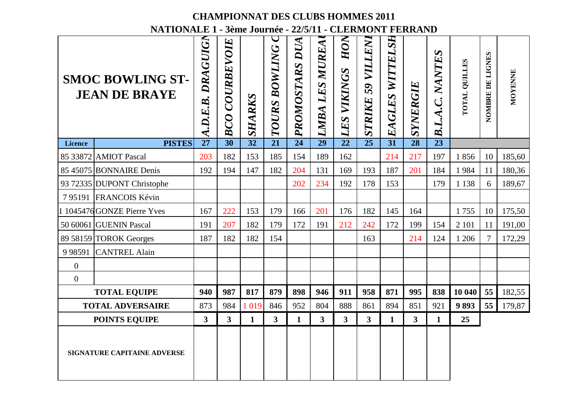|                  |                                                         |                           |                          | <b>CHAMPIONNAT DES CLUBS HOMMES 2011</b> |                      |                |                   |                         |                                |                    |          |                 |                      |                          |         |
|------------------|---------------------------------------------------------|---------------------------|--------------------------|------------------------------------------|----------------------|----------------|-------------------|-------------------------|--------------------------------|--------------------|----------|-----------------|----------------------|--------------------------|---------|
|                  | NATIONALE 1 - 3ème Journée - 22/5/11 - CLERMONT FERRAND |                           |                          |                                          |                      |                |                   |                         |                                |                    |          |                 |                      |                          |         |
|                  | <b>SMOC BOWLING ST-</b><br><b>JEAN DE BRAYE</b>         | <b>DRAGUIGN</b><br>D.E.B. | <b>COURBEVOIE</b><br>BCO | SHARKS                                   | <b>TOURS BOWLING</b> | PROMOSTARS DUA | LES MUREA<br>LMBA | HON<br>VIKINGS<br>LES   | VILLENI<br>59<br><b>STRIKE</b> | WITTELSH<br>EAGLES | SYNERGIE | B.L.A.C. NANTES | <b>FOTAL QUILLES</b> | NOMBRE DE LIGNES         | MOYENNE |
| <b>Licence</b>   | <b>PISTES</b>                                           | 27                        | 30                       | $\overline{32}$                          | $\overline{21}$      | 24             | 29                | 22                      | 25                             | 31                 | 28       | 23              |                      |                          |         |
|                  | 85 33872 AMIOT Pascal                                   | 203                       | 182                      | 153                                      | 185                  | 154            | 189               | 162                     |                                | 214                | 217      | 197             | 1856                 | 10                       | 185,60  |
|                  | 85 45075 BONNAIRE Denis                                 | 192                       | 194                      | 147                                      | 182                  | 204            | 131               | 169                     | 193                            | 187                | 201      | 184             | 1984                 | 11                       | 180,36  |
|                  | 93 72335 DUPONT Christophe                              |                           |                          |                                          |                      | 202            | 234               | 192                     | 178                            | 153                |          | 179             | 1 1 3 8              | 6                        | 189,67  |
| 795191           | FRANCOIS Kévin                                          |                           |                          |                                          |                      |                |                   |                         |                                |                    |          |                 |                      |                          |         |
|                  | 1 1045476 GONZE Pierre Yves                             | 167                       | 222                      | 153                                      | 179                  | 166            | 201               | 176                     | 182                            | 145                | 164      |                 | 1755                 | 10                       | 175,50  |
|                  | 50 60061 GUENIN Pascal                                  | 191                       | 207                      | 182                                      | 179                  | 172            | 191               | 212                     | 242                            | 172                | 199      | 154             | 2 1 0 1              | 11                       | 191,00  |
|                  | 89 58159 TOROK Georges                                  | 187                       | 182                      | 182                                      | 154                  |                |                   |                         | 163                            |                    | 214      | 124             | 1 206                | $\overline{\mathcal{L}}$ | 172,29  |
| 9 9 8 5 9 1      | <b>CANTREL Alain</b>                                    |                           |                          |                                          |                      |                |                   |                         |                                |                    |          |                 |                      |                          |         |
| $\overline{0}$   |                                                         |                           |                          |                                          |                      |                |                   |                         |                                |                    |          |                 |                      |                          |         |
| $\boldsymbol{0}$ |                                                         |                           |                          |                                          |                      |                |                   |                         |                                |                    |          |                 |                      |                          |         |
|                  | <b>TOTAL EQUIPE</b>                                     | 940                       | 987                      | 817                                      | 879                  | 898            | 946               | 911                     | 958                            | 871                | 995      | 838             | 10 040               | 55                       | 182,55  |
|                  | <b>TOTAL ADVERSAIRE</b>                                 | 873                       | 984                      | 1 0 1 9                                  | 846                  | 952            | 804               | 888                     | 861                            | 894                | 851      | 921             | 9893                 | 55                       | 179,87  |
|                  | <b>POINTS EQUIPE</b>                                    | 3                         | $\overline{\mathbf{3}}$  | $\mathbf{1}$                             | 3                    | $\mathbf{1}$   | 3 <sup>1</sup>    | $\overline{\mathbf{3}}$ | 3 <sup>1</sup>                 | 1                  | 3        | $\mathbf{1}$    | 25                   |                          |         |
|                  | SIGNATURE CAPITAINE ADVERSE                             |                           |                          |                                          |                      |                |                   |                         |                                |                    |          |                 |                      |                          |         |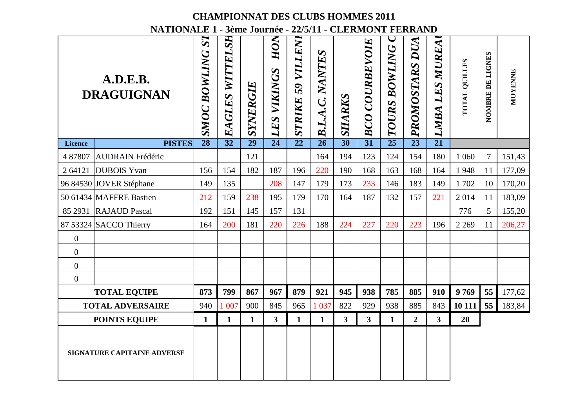|                  | NATIONALE 1 - 3ème Journée - 22/5/11 - CLERMONT FERRAND |                                   |                    |                 | <b>CHAMPIONNAT DES CLUBS HOMMES 2011</b> |                             |                 |              |                          |                  |                 |                         |                      |                  |         |
|------------------|---------------------------------------------------------|-----------------------------------|--------------------|-----------------|------------------------------------------|-----------------------------|-----------------|--------------|--------------------------|------------------|-----------------|-------------------------|----------------------|------------------|---------|
|                  | A.D.E.B.<br><b>DRAGUIGNAN</b>                           | S <sub>7</sub><br>BOWLING<br>SMOC | WITTELSH<br>EAGLES | SYNERGIE        | HON<br><b>LES VIKINGS</b>                | <b>79 VILLENI</b><br>STRIKE | B.L.A.C. NANTES | SHARKS       | <b>COURBEVOIE</b><br>BCO | BOWLING<br>TOURS | PROMOSTARS DUA  | LMBA LES MUREA          | <b>TOTAL QUILLES</b> | NOMBRE DE LIGNES | MOYENNE |
| <b>Licence</b>   | <b>PISTES</b>                                           | $\overline{28}$                   | 32                 | $\overline{29}$ | $\overline{24}$                          | $\overline{22}$             | $\overline{26}$ | 30           | 31                       | 25               | $\overline{23}$ | $\overline{21}$         |                      |                  |         |
| 4 87807          | <b>AUDRAIN Frédéric</b>                                 |                                   |                    | 121             |                                          |                             | 164             | 194          | 123                      | 124              | 154             | 180                     | 1 0 6 0              | $\tau$           | 151,43  |
| 2 64121          | <b>DUBOIS</b> Yvan                                      | 156                               | 154                | 182             | 187                                      | 196                         | 220             | 190          | 168                      | 163              | 168             | 164                     | 1948                 | 11               | 177,09  |
|                  | 96 84530 JOVER Stéphane                                 | 149                               | 135                |                 | 208                                      | 147                         | 179             | 173          | 233                      | 146              | 183             | 149                     | 1702                 | 10               | 170,20  |
|                  | 50 61434 MAFFRE Bastien                                 | 212                               | 159                | 238             | 195                                      | 179                         | 170             | 164          | 187                      | 132              | 157             | 221                     | 2014                 | 11               | 183,09  |
|                  | 85 2931 RAJAUD Pascal                                   | 192                               | 151                | 145             | 157                                      | 131                         |                 |              |                          |                  |                 |                         | 776                  | 5                | 155,20  |
|                  | 87 53324 SACCO Thierry                                  | 164                               | 200                | 181             | 220                                      | 226                         | 188             | 224          | 227                      | 220              | 223             | 196                     | 2 2 6 9              | 11               | 206,27  |
| $\boldsymbol{0}$ |                                                         |                                   |                    |                 |                                          |                             |                 |              |                          |                  |                 |                         |                      |                  |         |
| $\mathbf{0}$     |                                                         |                                   |                    |                 |                                          |                             |                 |              |                          |                  |                 |                         |                      |                  |         |
| $\overline{0}$   |                                                         |                                   |                    |                 |                                          |                             |                 |              |                          |                  |                 |                         |                      |                  |         |
| $\overline{0}$   |                                                         |                                   |                    |                 |                                          |                             |                 |              |                          |                  |                 |                         |                      |                  |         |
|                  | <b>TOTAL EQUIPE</b>                                     | 873                               | 799                | 867             | 967                                      | 879                         | 921             | 945          | 938                      | 785              | 885             | 910                     | 9769                 | 55               | 177,62  |
|                  | <b>TOTAL ADVERSAIRE</b>                                 | 940                               | 1 007              | 900             | 845                                      | 965                         | 1 0 37          | 822          | 929                      | 938              | 885             | 843                     | 10 111               | 55               | 183,84  |
|                  | <b>POINTS EQUIPE</b>                                    | 1                                 | $\mathbf{1}$       | $\mathbf{1}$    | $\overline{\mathbf{3}}$                  | $\mathbf{1}$                | $\mathbf{1}$    | $\mathbf{3}$ | $\mathbf{3}$             | 1                | $\overline{2}$  | $\overline{\mathbf{3}}$ | 20                   |                  |         |
|                  | <b>SIGNATURE CAPITAINE ADVERSE</b>                      |                                   |                    |                 |                                          |                             |                 |              |                          |                  |                 |                         |                      |                  |         |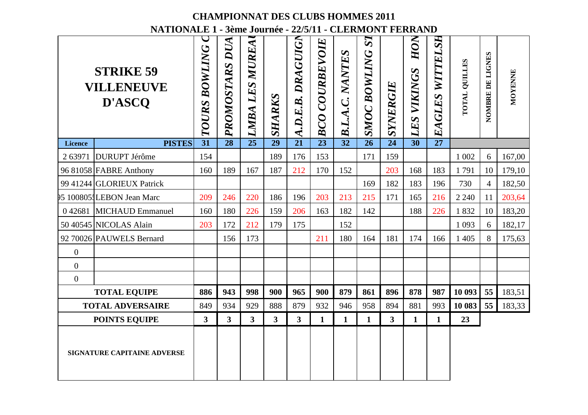|                  | NATIONALE 1 - 3ème Journée - 22/5/11 - CLERMONT FERRAND |                  |                   |                          |                 |                   |                   | <b>CHAMPIONNAT DES CLUBS HOMMES 2011</b> |                                    |                |                           |                 |                      |                  |         |
|------------------|---------------------------------------------------------|------------------|-------------------|--------------------------|-----------------|-------------------|-------------------|------------------------------------------|------------------------------------|----------------|---------------------------|-----------------|----------------------|------------------|---------|
|                  | <b>STRIKE 59</b><br><b>VILLENEUVE</b><br>D'ASCQ         | BOWLING<br>TOURS | DUA<br>PROMOSTARS | <b>LES MUREA</b><br>LMBA | SHARKS          | A.D.E.B. DRAGUIGN | COURBEVOIE<br>BCO | NANTES<br>B.L.A.C.                       | ST <sub>1</sub><br>BOWLING<br>SMOC | SYNERGIE       | HON<br><b>LES VIKINGS</b> | EAGLES WITTELSH | <b>TOTAL QUILLES</b> | NOMBRE DE LIGNES | MOYENNE |
| <b>Licence</b>   | <b>PISTES</b>                                           | 31               | 28                | $\overline{25}$          | $\overline{29}$ | 21                | $\overline{23}$   | $\overline{32}$                          | 26                                 | 24             | $\overline{30}$           | $\overline{27}$ |                      |                  |         |
| 2 63971          | <b>DURUPT</b> Jérôme                                    | 154              |                   |                          | 189             | 176               | 153               |                                          | 171                                | 159            |                           |                 | 1 0 0 2              | 6                | 167,00  |
|                  | 96 81058 FABRE Anthony                                  | 160              | 189               | 167                      | 187             | 212               | 170               | 152                                      |                                    | 203            | 168                       | 183             | 1791                 | 10               | 179,10  |
|                  | 99 41244 GLORIEUX Patrick                               |                  |                   |                          |                 |                   |                   |                                          | 169                                | 182            | 183                       | 196             | 730                  | $\overline{4}$   | 182,50  |
|                  | 95 1008051LEBON Jean Marc                               | 209              | 246               | 220                      | 186             | 196               | 203               | 213                                      | 215                                | 171            | 165                       | 216             | 2 2 4 0              | 11               | 203,64  |
|                  | 0 42681 MICHAUD Emmanuel                                | 160              | 180               | 226                      | 159             | 206               | 163               | 182                                      | 142                                |                | 188                       | 226             | 1832                 | 10               | 183,20  |
|                  | 50 40545 NICOLAS Alain                                  | 203              | 172               | 212                      | 179             | 175               |                   | 152                                      |                                    |                |                           |                 | 1 0 9 3              | 6                | 182,17  |
|                  | 92 70026 PAUWELS Bernard                                |                  | 156               | 173                      |                 |                   | 211               | 180                                      | 164                                | 181            | 174                       | 166             | 1 4 0 5              | 8                | 175,63  |
| $\boldsymbol{0}$ |                                                         |                  |                   |                          |                 |                   |                   |                                          |                                    |                |                           |                 |                      |                  |         |
| $\overline{0}$   |                                                         |                  |                   |                          |                 |                   |                   |                                          |                                    |                |                           |                 |                      |                  |         |
| $\overline{0}$   |                                                         |                  |                   |                          |                 |                   |                   |                                          |                                    |                |                           |                 |                      |                  |         |
|                  | <b>TOTAL EQUIPE</b>                                     | 886              | 943               | 998                      | 900             | 965               | 900               | 879                                      | 861                                | 896            | 878                       | 987             | 10 093               | 55               | 183,51  |
|                  | <b>TOTAL ADVERSAIRE</b>                                 | 849              | 934               | 929                      | 888             | 879               | 932               | 946                                      | 958                                | 894            | 881                       | 993             | 10 083               | 55               | 183,33  |
|                  | <b>POINTS EQUIPE</b>                                    | $\mathbf{3}$     | 3 <sup>1</sup>    | 3 <sup>1</sup>           | $\mathbf{3}$    | 3                 | $\mathbf{1}$      | $\mathbf{1}$                             | $\mathbf{1}$                       | 3 <sup>1</sup> | $\mathbf{1}$              | $\mathbf{1}$    | 23                   |                  |         |
|                  | <b>SIGNATURE CAPITAINE ADVERSE</b>                      |                  |                   |                          |                 |                   |                   |                                          |                                    |                |                           |                 |                      |                  |         |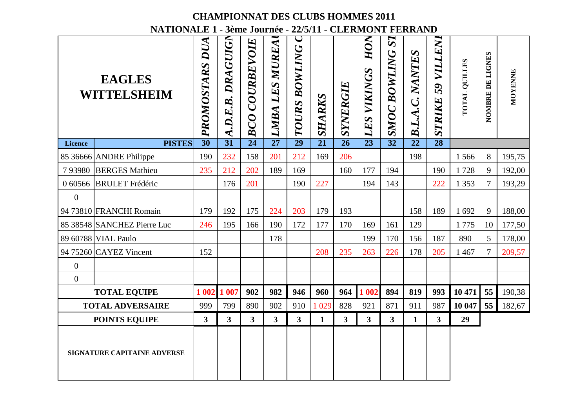|                |                                                         |                   |                                   |                       |                         |                      |                 |                | <b>CHAMPIONNAT DES CLUBS HOMMES 2011</b> |                                                 |                 |                             |                      |                  |         |
|----------------|---------------------------------------------------------|-------------------|-----------------------------------|-----------------------|-------------------------|----------------------|-----------------|----------------|------------------------------------------|-------------------------------------------------|-----------------|-----------------------------|----------------------|------------------|---------|
|                | NATIONALE 1 - 3ème Journée - 22/5/11 - CLERMONT FERRAND |                   |                                   |                       |                         |                      |                 |                |                                          |                                                 |                 |                             |                      |                  |         |
|                | <b>EAGLES</b><br>WITTELSHEIM                            | DUA<br>PROMOSTARS | DRAGUIGN<br>$\overline{A.D.E.B.}$ | <b>BCO COURBEVOIE</b> | LMBA LES MUREA          | <b>TOURS BOWLING</b> | SHARKS          | SYNERGIE       | HON<br>VIKINGS<br>LES                    | S <sub>7</sub><br><b>BOWLING</b><br><b>SMOC</b> | B.L.A.C. NANTES | <b>S9 VILLENI</b><br>STRIKE | <b>TOTAL QUILLES</b> | NOMBRE DE LIGNES | MOYENNE |
| <b>Licence</b> | <b>PISTES</b>                                           | 30                | 31                                | 24                    | $\overline{27}$         | 29                   | $\overline{21}$ | 26             | 23                                       | $\overline{32}$                                 | $\overline{22}$ | $\overline{28}$             |                      |                  |         |
|                | 85 36666 ANDRE Philippe                                 | 190               | 232                               | 158                   | 201                     | 212                  | 169             | 206            |                                          |                                                 | 198             |                             | 1566                 | 8                | 195,75  |
| 793980         | <b>BERGES Mathieu</b>                                   | 235               | 212                               | 202                   | 189                     | 169                  |                 | 160            | 177                                      | 194                                             |                 | 190                         | 1728                 | 9                | 192,00  |
| 0 60566        | <b>BRULET</b> Frédéric                                  |                   | 176                               | 201                   |                         | 190                  | 227             |                | 194                                      | 143                                             |                 | 222                         | 1 3 5 3              | $\tau$           | 193,29  |
| $\theta$       |                                                         |                   |                                   |                       |                         |                      |                 |                |                                          |                                                 |                 |                             |                      |                  |         |
|                | 94 73810 FRANCHI Romain                                 | 179               | 192                               | 175                   | 224                     | 203                  | 179             | 193            |                                          |                                                 | 158             | 189                         | 1692                 | 9                | 188,00  |
|                | 85 38548 SANCHEZ Pierre Luc                             | 246               | 195                               | 166                   | 190                     | 172                  | 177             | 170            | 169                                      | 161                                             | 129             |                             | 1775                 | 10               | 177,50  |
|                | 89 60788 VIAL Paulo                                     |                   |                                   |                       | 178                     |                      |                 |                | 199                                      | 170                                             | 156             | 187                         | 890                  | 5                | 178,00  |
|                | 94 75260 $CAYEZ$ Vincent                                | 152               |                                   |                       |                         |                      | 208             | 235            | 263                                      | 226                                             | 178             | 205                         | 1467                 | $\tau$           | 209,57  |
| $\mathbf{0}$   |                                                         |                   |                                   |                       |                         |                      |                 |                |                                          |                                                 |                 |                             |                      |                  |         |
| $\mathbf{0}$   |                                                         |                   |                                   |                       |                         |                      |                 |                |                                          |                                                 |                 |                             |                      |                  |         |
|                | <b>TOTAL EQUIPE</b>                                     | 1 0 0 2           | 1 007                             | 902                   | 982                     | 946                  | 960             | 964            | 1 002                                    | 894                                             | 819             | 993                         | 10 471               | 55               | 190,38  |
|                | <b>TOTAL ADVERSAIRE</b>                                 | 999               | 799                               | 890                   | 902                     | 910                  | 1 0 29          | 828            | 921                                      | 871                                             | 911             | 987                         | 10 047               | 55               | 182,67  |
|                | <b>POINTS EQUIPE</b>                                    | 3                 | $\overline{\mathbf{3}}$           | 3 <sup>1</sup>        | $\overline{\mathbf{3}}$ | 3                    | $\mathbf{1}$    | $\overline{3}$ | 3                                        | 3 <sup>1</sup>                                  | 1               | $\mathbf{3}$                | 29                   |                  |         |
|                | <b>SIGNATURE CAPITAINE ADVERSE</b>                      |                   |                                   |                       |                         |                      |                 |                |                                          |                                                 |                 |                             |                      |                  |         |